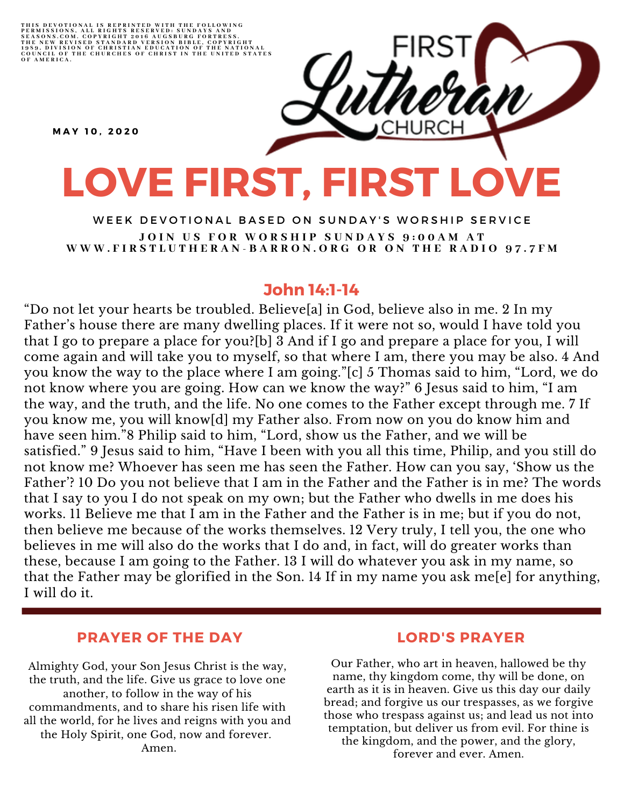THIS DEVOTIONAL IS REPRINTED WITH THE FOLLOWING<br>PERMISSIONS, ALL RIGHTS RESERVED: SUNDAYS AND<br>SEASONS.COM. COPYRIGHT 2016 AUGSBURG FORTRESS.<br>THE NEW REVISED STANDARD VERSION BIBLE, COPYRIGHT<br>1959, DIVISION OF CHRISTIAN EDU

**M A Y 1 0 , 2 0 2 0**

# **LOVE FIRST, FIRST LOVE**

WEEK DEVOTIONAL BASED ON SUNDAY'S WORSHIP SERVICE JOIN US FOR WORSHIP SUNDAYS 9:00AM AT WWW.FIRSTLUTHERAN-BARRON.ORG OR ON THE RADIO 97.7FM

### **John 14:1-14**

"Do not let your hearts be troubled. Believe[a] in God, believe also in me. 2 In my Father's house there are many dwelling places. If it were not so, would I have told you that I go to prepare a place for you?[b] 3 And if I go and prepare a place for you, I will come again and will take you to myself, so that where I am, there you may be also. 4 And you know the way to the place where I am going."[c] 5 Thomas said to him, "Lord, we do not know where you are going. How can we know the way?" 6 Jesus said to him, "I am the way, and the truth, and the life. No one comes to the Father except through me. 7 If you know me, you will know[d] my Father also. From now on you do know him and have seen him."8 Philip said to him, "Lord, show us the Father, and we will be satisfied." 9 Jesus said to him, "Have I been with you all this time, Philip, and you still do not know me? Whoever has seen me has seen the Father. How can you say, 'Show us the Father'? 10 Do you not believe that I am in the Father and the Father is in me? The words that I say to you I do not speak on my own; but the Father who dwells in me does his works. 11 Believe me that I am in the Father and the Father is in me; but if you do not, then believe me because of the works themselves. 12 Very truly, I tell you, the one who believes in me will also do the works that I do and, in fact, will do greater works than these, because I am going to the Father. 13 I will do whatever you ask in my name, so that the Father may be glorified in the Son. 14 If in my name you ask me[e] for anything, I will do it.

#### **PRAYER OF THE DAY**

Almighty God, your Son Jesus Christ is the way, the truth, and the life. Give us grace to love one another, to follow in the way of his commandments, and to share his risen life with all the world, for he lives and reigns with you and the Holy Spirit, one God, now and forever. Amen.

#### **LORD'S PRAYER**

Our Father, who art in heaven, hallowed be thy name, thy kingdom come, thy will be done, on earth as it is in heaven. Give us this day our daily bread; and forgive us our trespasses, as we forgive those who trespass against us; and lead us not into temptation, but deliver us from evil. For thine is the kingdom, and the power, and the glory, forever and ever. Amen.